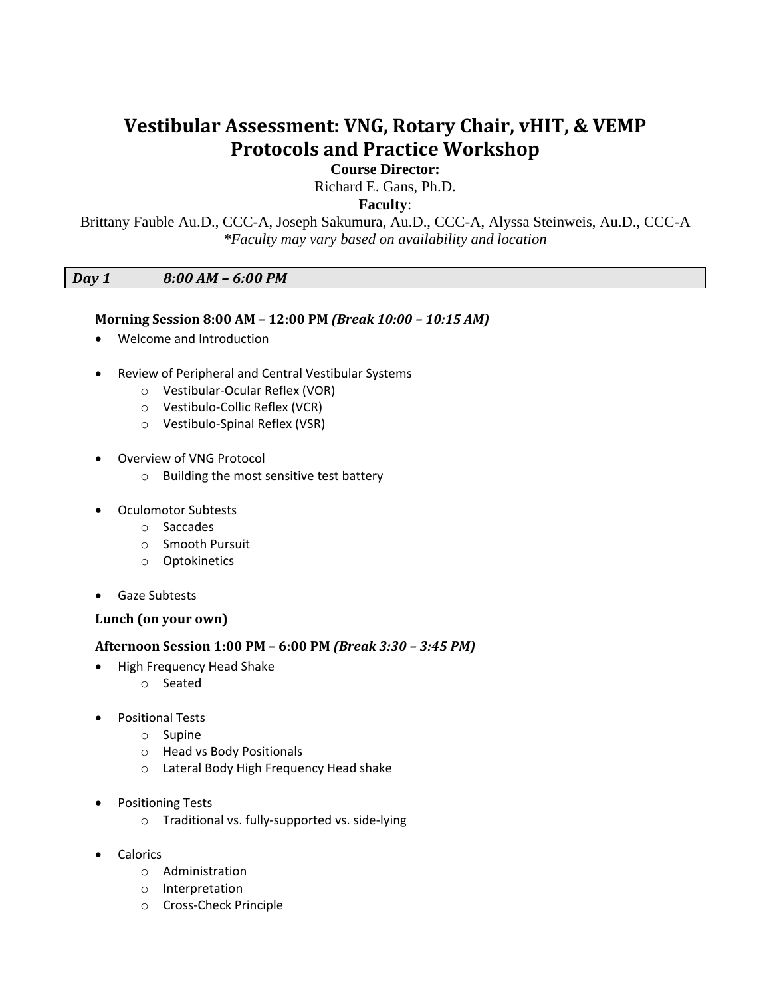# **Vestibular Assessment: VNG, Rotary Chair, vHIT, & VEMP Protocols and Practice Workshop**

**Course Director:**

Richard E. Gans, Ph.D.

**Faculty**:

Brittany Fauble Au.D., CCC-A, Joseph Sakumura, Au.D., CCC-A, Alyssa Steinweis, Au.D., CCC-A *\*Faculty may vary based on availability and location*

## *Day 1 8:00 AM – 6:00 PM*

## **Morning Session 8:00 AM – 12:00 PM** *(Break 10:00 – 10:15 AM)*

- Welcome and Introduction
- Review of Peripheral and Central Vestibular Systems
	- o Vestibular-Ocular Reflex (VOR)
	- o Vestibulo-Collic Reflex (VCR)
	- o Vestibulo-Spinal Reflex (VSR)
- Overview of VNG Protocol
	- o Building the most sensitive test battery
- Oculomotor Subtests
	- o Saccades
	- o Smooth Pursuit
	- o Optokinetics
- Gaze Subtests

### **Lunch (on your own)**

### **Afternoon Session 1:00 PM – 6:00 PM** *(Break 3:30 – 3:45 PM)*

- High Frequency Head Shake
	- o Seated
- Positional Tests
	- o Supine
	- o Head vs Body Positionals
	- o Lateral Body High Frequency Head shake
- Positioning Tests
	- o Traditional vs. fully-supported vs. side-lying
- Calorics
	- o Administration
	- o Interpretation
	- o Cross-Check Principle